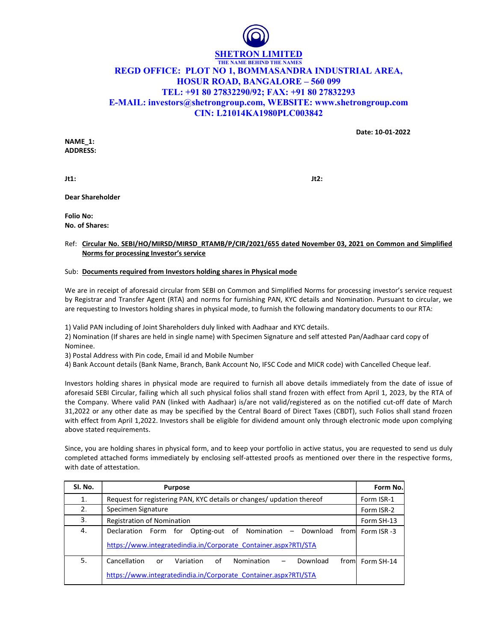

## THE NAME BEHIND THE NAMES REGD OFFICE: PLOT NO 1, BOMMASANDRA INDUSTRIAL AREA, HOSUR ROAD, BANGALORE – 560 099 TEL: +91 80 27832290/92; FAX: +91 80 27832293 E-MAIL: investors@shetrongroup.com, WEBSITE: www.shetrongroup.com CIN: L21014KA1980PLC003842

Date: 10-01-2022

NAME\_1: ADDRESS:

 $Jt1:$ 

Dear Shareholder

Folio No: No. of Shares:

## Ref: Circular No. SEBI/HO/MIRSD/MIRSD\_RTAMB/P/CIR/2021/655 dated November 03, 2021 on Common and Simplified Norms for processing Investor's service

## Sub: Documents required from Investors holding shares in Physical mode

We are in receipt of aforesaid circular from SEBI on Common and Simplified Norms for processing investor's service request by Registrar and Transfer Agent (RTA) and norms for furnishing PAN, KYC details and Nomination. Pursuant to circular, we are requesting to Investors holding shares in physical mode, to furnish the following mandatory documents to our RTA:

1) Valid PAN including of Joint Shareholders duly linked with Aadhaar and KYC details.

2) Nomination (If shares are held in single name) with Specimen Signature and self attested Pan/Aadhaar card copy of Nominee.

3) Postal Address with Pin code, Email id and Mobile Number

4) Bank Account details (Bank Name, Branch, Bank Account No, IFSC Code and MICR code) with Cancelled Cheque leaf.

Investors holding shares in physical mode are required to furnish all above details immediately from the date of issue of aforesaid SEBI Circular, failing which all such physical folios shall stand frozen with effect from April 1, 2023, by the RTA of the Company. Where valid PAN (linked with Aadhaar) is/are not valid/registered as on the notified cut-off date of March 31,2022 or any other date as may be specified by the Central Board of Direct Taxes (CBDT), such Folios shall stand frozen with effect from April 1,2022. Investors shall be eligible for dividend amount only through electronic mode upon complying above stated requirements.

Since, you are holding shares in physical form, and to keep your portfolio in active status, you are requested to send us duly completed attached forms immediately by enclosing self-attested proofs as mentioned over there in the respective forms, with date of attestation.

| SI. No. | <b>Purpose</b>                                                                                      | Form No.    |
|---------|-----------------------------------------------------------------------------------------------------|-------------|
| 1.      | Request for registering PAN, KYC details or changes/ updation thereof                               | Form ISR-1  |
| 2.      | Specimen Signature                                                                                  | Form ISR-2  |
| 3.      | Registration of Nomination                                                                          | Form SH-13  |
| 4.      | Opting-out of Nomination –<br>Download<br>Declaration Form for<br>froml                             | Form ISR -3 |
|         | https://www.integratedindia.in/Corporate Container.aspx?RTI/STA                                     |             |
| 5.      | Cancellation<br>of<br>Download<br>Nomination<br>Variation<br>from<br>or<br>$\overline{\phantom{m}}$ | Form SH-14  |
|         | https://www.integratedindia.in/Corporate Container.aspx?RTI/STA                                     |             |